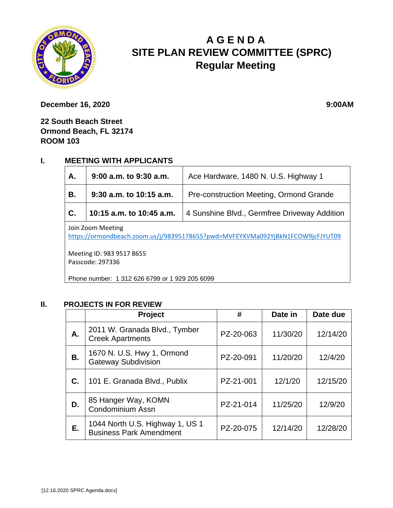

# **A G E N D A SITE PLAN REVIEW COMMITTEE (SPRC) Regular Meeting**

**December 16, 2020 9:00AM** 

**22 South Beach Street Ormond Beach, FL 32174 ROOM 103**

## **I. MEETING WITH APPLICANTS**

| A.                                                                                                  | $9:00$ a.m. to $9:30$ a.m. | Ace Hardware, 1480 N. U.S. Highway 1         |  |  |
|-----------------------------------------------------------------------------------------------------|----------------------------|----------------------------------------------|--|--|
| <b>B.</b>                                                                                           | $9:30$ a.m. to 10:15 a.m.  | Pre-construction Meeting, Ormond Grande      |  |  |
| C.                                                                                                  | 10:15 a.m. to 10:45 a.m.   | 4 Sunshine Blvd., Germfree Driveway Addition |  |  |
| Join Zoom Meeting<br>https://ormondbeach.zoom.us/j/98395178655?pwd=MVFEYXVMa092YjBkN1FCOW9jcFJYUT09 |                            |                                              |  |  |
| Meeting ID: 983 9517 8655<br>Passcode: 297336                                                       |                            |                                              |  |  |

Phone number: 1 312 626 6799 or 1 929 205 6099

## **II. PROJECTS IN FOR REVIEW**

|    | Project                                                           | #         | Date in  | Date due |
|----|-------------------------------------------------------------------|-----------|----------|----------|
| А. | 2011 W. Granada Blvd., Tymber<br><b>Creek Apartments</b>          | PZ-20-063 | 11/30/20 | 12/14/20 |
| В. | 1670 N. U.S. Hwy 1, Ormond<br><b>Gateway Subdivision</b>          | PZ-20-091 | 11/20/20 | 12/4/20  |
| C. | 101 E. Granada Blvd., Publix                                      | PZ-21-001 | 12/1/20  | 12/15/20 |
| D. | 85 Hanger Way, KOMN<br>Condominium Assn                           | PZ-21-014 | 11/25/20 | 12/9/20  |
| Е. | 1044 North U.S. Highway 1, US 1<br><b>Business Park Amendment</b> | PZ-20-075 | 12/14/20 | 12/28/20 |